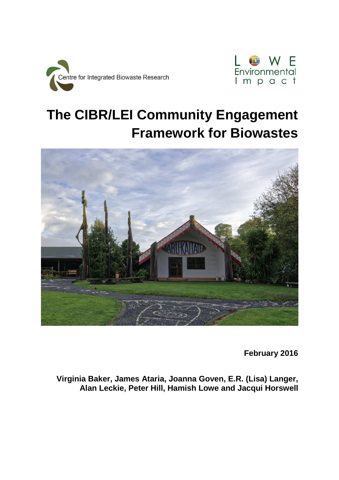



# **The CIBR/LEI Community Engagement Framework for Biowastes**



**February 2016** 

**Virginia Baker, James Ataria, Joanna Goven, E.R. (Lisa) Langer, Alan Leckie, Peter Hill, Hamish Lowe and Jacqui Horswell**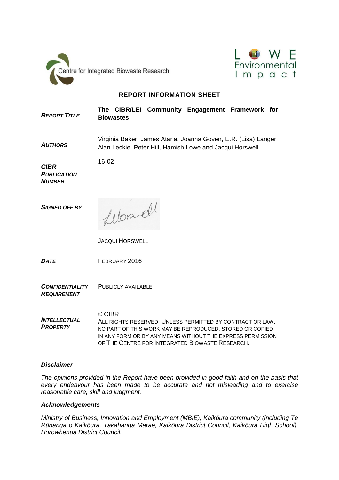



#### **REPORT INFORMATION SHEET**

**The CIBR/LEI Community Engagement Framework for REPORT TITLE Biowastes**  Virginia Baker, James Ataria, Joanna Goven, E.R. (Lisa) Langer, **AUTHORS** Alan Leckie, Peter Hill, Hamish Lowe and Jacqui Horswell 16-02 **CIBR PUBLICATION NUMBER** felomell **SIGNED OFF BY** JACQUI HORSWELL **DATE** FEBRUARY 2016 **CONFIDENTIALITY**  PUBLICLY AVAILABLE **REQUIREMENT**

**INTELLECTUAL PROPERTY** © CIBR ALL RIGHTS RESERVED. UNLESS PERMITTED BY CONTRACT OR LAW, NO PART OF THIS WORK MAY BE REPRODUCED, STORED OR COPIED IN ANY FORM OR BY ANY MEANS WITHOUT THE EXPRESS PERMISSION OF THE CENTRE FOR INTEGRATED BIOWASTE RESEARCH.

#### **Disclaimer**

The opinions provided in the Report have been provided in good faith and on the basis that every endeavour has been made to be accurate and not misleading and to exercise reasonable care, skill and judgment.

#### **Acknowledgements**

Ministry of Business, Innovation and Employment (MBIE), Kaik*ō*ura community (including Te R*ū*nanga o Kaik*ō*ura, Takahanga Marae, Kaik*ō*ura District Council, Kaik*ō*ura High School), Horowhenua District Council.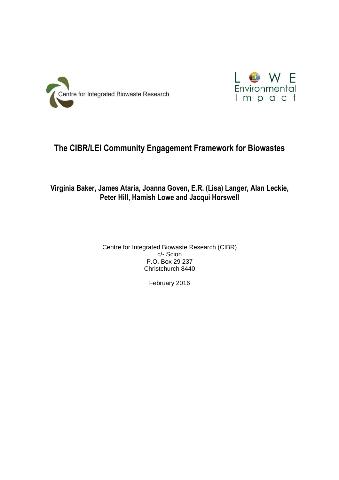



# **The CIBR/LEI Community Engagement Framework for Biowastes**

### **Virginia Baker, James Ataria, Joanna Goven, E.R. (Lisa) Langer, Alan Leckie, Peter Hill, Hamish Lowe and Jacqui Horswell**

Centre for Integrated Biowaste Research (CIBR) c/- Scion P.O. Box 29 237 Christchurch 8440

February 2016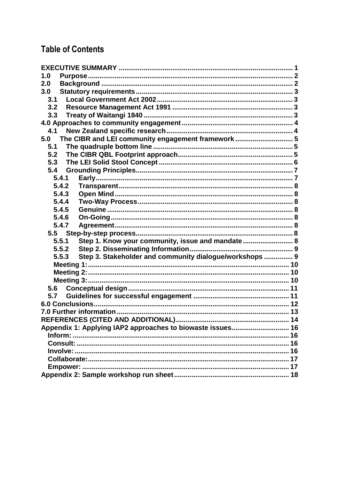# **Table of Contents**

| 1.0                                                              |    |
|------------------------------------------------------------------|----|
| 2.0                                                              |    |
| 3.0                                                              |    |
| 3.1                                                              |    |
| 3.2                                                              |    |
| 3.3                                                              |    |
|                                                                  |    |
| 4.1                                                              |    |
| The CIBR and LEI community engagement framework  5<br>5.0        |    |
| 5.1                                                              |    |
| 5.2                                                              |    |
| 5.3                                                              |    |
| 5.4                                                              |    |
| 5.4.1                                                            |    |
| 5.4.2                                                            |    |
| 5.4.3                                                            |    |
| 5.4.4                                                            |    |
| 5.4.5                                                            |    |
| 5.4.6                                                            |    |
| 5.4.7                                                            |    |
|                                                                  |    |
| Step 1. Know your community, issue and mandate 8<br>5.5.1        |    |
| 5.5.2                                                            |    |
| Step 3. Stakeholder and community dialogue/workshops  9<br>5.5.3 |    |
|                                                                  |    |
|                                                                  |    |
|                                                                  |    |
| 5.6                                                              |    |
| 5.7                                                              |    |
|                                                                  |    |
|                                                                  |    |
|                                                                  |    |
| Appendix 1: Applying IAP2 approaches to biowaste issues 16       |    |
|                                                                  |    |
|                                                                  |    |
|                                                                  |    |
|                                                                  | 17 |
|                                                                  |    |
|                                                                  |    |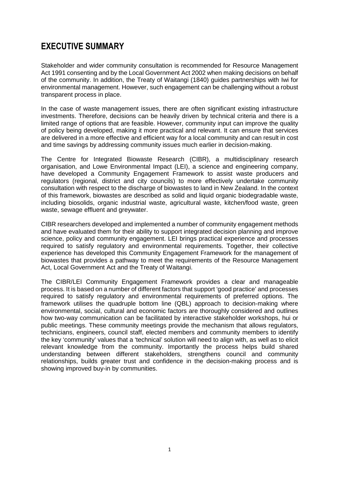# **EXECUTIVE SUMMARY**

Stakeholder and wider community consultation is recommended for Resource Management Act 1991 consenting and by the Local Government Act 2002 when making decisions on behalf of the community. In addition, the Treaty of Waitangi (1840) guides partnerships with Iwi for environmental management. However, such engagement can be challenging without a robust transparent process in place.

In the case of waste management issues, there are often significant existing infrastructure investments. Therefore, decisions can be heavily driven by technical criteria and there is a limited range of options that are feasible. However, community input can improve the quality of policy being developed, making it more practical and relevant. It can ensure that services are delivered in a more effective and efficient way for a local community and can result in cost and time savings by addressing community issues much earlier in decision-making.

The Centre for Integrated Biowaste Research (CIBR), a multidisciplinary research organisation, and Lowe Environmental Impact (LEI), a science and engineering company, have developed a Community Engagement Framework to assist waste producers and regulators (regional, district and city councils) to more effectively undertake community consultation with respect to the discharge of biowastes to land in New Zealand. In the context of this framework, biowastes are described as solid and liquid organic biodegradable waste, including biosolids, organic industrial waste, agricultural waste, kitchen/food waste, green waste, sewage effluent and greywater.

CIBR researchers developed and implemented a number of community engagement methods and have evaluated them for their ability to support integrated decision planning and improve science, policy and community engagement. LEI brings practical experience and processes required to satisfy regulatory and environmental requirements. Together, their collective experience has developed this Community Engagement Framework for the management of biowastes that provides a pathway to meet the requirements of the Resource Management Act, Local Government Act and the Treaty of Waitangi.

The CIBR/LEI Community Engagement Framework provides a clear and manageable process. It is based on a number of different factors that support 'good practice' and processes required to satisfy regulatory and environmental requirements of preferred options. The framework utilises the quadruple bottom line (QBL) approach to decision-making where environmental, social, cultural and economic factors are thoroughly considered and outlines how two-way communication can be facilitated by interactive stakeholder workshops, hui or public meetings. These community meetings provide the mechanism that allows regulators, technicians, engineers, council staff, elected members and community members to identify the key 'community' values that a 'technical' solution will need to align with, as well as to elicit relevant knowledge from the community. Importantly the process helps build shared understanding between different stakeholders, strengthens council and community relationships, builds greater trust and confidence in the decision-making process and is showing improved buy-in by communities.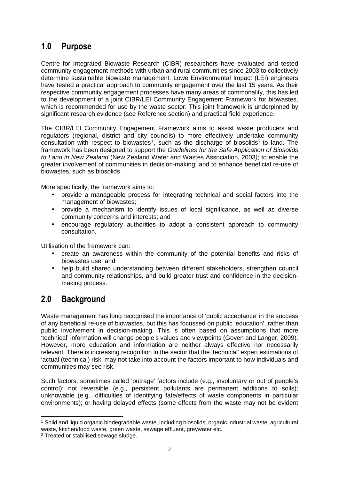# **1.0 Purpose**

Centre for Integrated Biowaste Research (CIBR) researchers have evaluated and tested community engagement methods with urban and rural communities since 2003 to collectively determine sustainable biowaste management. Lowe Environmental Impact (LEI) engineers have tested a practical approach to community engagement over the last 15 years. As their respective community engagement processes have many areas of commonality, this has led to the development of a joint CIBR/LEI Community Engagement Framework for biowastes, which is recommended for use by the waste sector. This joint framework is underpinned by significant research evidence (see Reference section) and practical field experience.

The CIBR/LEI Community Engagement Framework aims to assist waste producers and regulators (regional, district and city councils) to more effectively undertake community consultation with respect to biowastes<sup>1</sup>, such as the discharge of biosolids<sup>2</sup> to land. The framework has been designed to support the Guidelines for the Safe Application of Biosolids to Land in New Zealand (New Zealand Water and Wastes Association, 2003); to enable the greater involvement of communities in decision-making; and to enhance beneficial re-use of biowastes, such as biosolids.

More specifically, the framework aims to:

- provide a manageable process for integrating technical and social factors into the management of biowastes;
- provide a mechanism to identify issues of local significance, as well as diverse community concerns and interests; and
- encourage regulatory authorities to adopt a consistent approach to community consultation.

Utilisation of the framework can:

- create an awareness within the community of the potential benefits and risks of biowastes use; and
- help build shared understanding between different stakeholders, strengthen council and community relationships, and build greater trust and confidence in the decisionmaking process.

# **2.0 Background**

Waste management has long recognised the importance of 'public acceptance' in the success of any beneficial re-use of biowastes, but this has focussed on public 'education', rather than public involvement in decision-making. This is often based on assumptions that more 'technical' information will change people's values and viewpoints (Goven and Langer, 2009). However, more education and information are neither always effective nor necessarily relevant. There is increasing recognition in the sector that the 'technical' expert estimations of 'actual (technical) risk' may not take into account the factors important to how individuals and communities may see risk.

Such factors, sometimes called 'outrage' factors include (e.g., involuntary or out of people's control); not reversible (e.g., persistent pollutants are permanent additions to soils); unknowable (e.g., difficulties of identifying fate/effects of waste components in particular environments); or having delayed effects (some effects from the waste may not be evident

 $\overline{a}$ 

<sup>1</sup> Solid and liquid organic biodegradable waste, including biosolids, organic industrial waste, agricultural waste, kitchen/food waste, green waste, sewage effluent, greywater etc.

<sup>&</sup>lt;sup>2</sup> Treated or stabilised sewage sludge.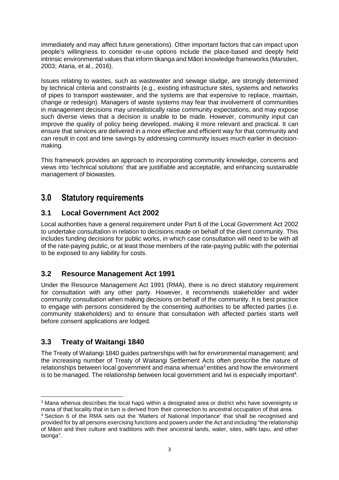immediately and may affect future generations). Other important factors that can impact upon people's willingness to consider re-use options include the place-based and deeply held intrinsic environmental values that inform tikanga and Māori knowledge frameworks (Marsden, 2003; Ataria, et al., 2016).

Issues relating to wastes, such as wastewater and sewage sludge, are strongly determined by technical criteria and constraints (e.g., existing infrastructure sites, systems and networks of pipes to transport wastewater, and the systems are that expensive to replace, maintain, change or redesign). Managers of waste systems may fear that involvement of communities in management decisions may unrealistically raise community expectations, and may expose such diverse views that a decision is unable to be made. However, community input can improve the quality of policy being developed, making it more relevant and practical. It can ensure that services are delivered in a more effective and efficient way for that community and can result in cost and time savings by addressing community issues much earlier in decisionmaking.

This framework provides an approach to incorporating community knowledge, concerns and views into 'technical solutions' that are justifiable and acceptable, and enhancing sustainable management of biowastes.

# **3.0 Statutory requirements**

### **3.1 Local Government Act 2002**

Local authorities have a general requirement under Part 6 of the Local Government Act 2002 to undertake consultation in relation to decisions made on behalf of the client community. This includes funding decisions for public works, in which case consultation will need to be with all of the rate-paying public, or at least those members of the rate-paying public with the potential to be exposed to any liability for costs.

### **3.2 Resource Management Act 1991**

Under the Resource Management Act 1991 (RMA), there is no direct statutory requirement for consultation with any other party. However, it recommends stakeholder and wider community consultation when making decisions on behalf of the community. It is best practice to engage with persons considered by the consenting authorities to be affected parties (i.e. community stakeholders) and to ensure that consultation with affected parties starts well before consent applications are lodged.

### **3.3 Treaty of Waitangi 1840**

֦

The Treaty of Waitangi 1840 guides partnerships with Iwi for environmental management; and the increasing number of Treaty of Waitangi Settlement Acts often prescribe the nature of relationships between local government and mana whenua<sup>3</sup> entities and how the environment is to be managed. The relationship between local government and Iwi is especially important<sup>4</sup>.

<sup>&</sup>lt;sup>3</sup> Mana whenua describes the local hapū within a designated area or district who have sovereignty or mana of that locality that in turn is derived from their connection to ancestral occupation of that area.

<sup>4</sup> Section 6 of the RMA sets out the 'Matters of National Importance' that shall be recognised and provided for by all persons exercising functions and powers under the Act and including "the relationship of Māori and their culture and traditions with their ancestral lands, water, sites, wāhi tapu, and other taonga".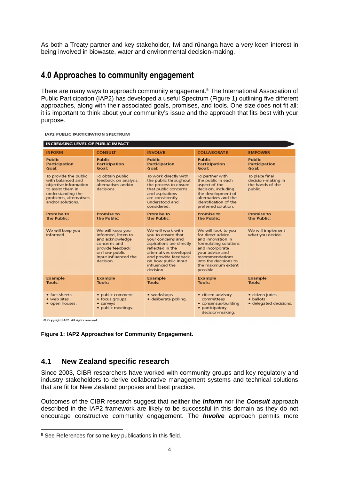As both a Treaty partner and key stakeholder, Iwi and rūnanga have a very keen interest in being involved in biowaste, water and environmental decision-making.

# **4.0 Approaches to community engagement**

There are many ways to approach community engagement.<sup>5</sup> The International Association of Public Participation (IAP2) has developed a useful Spectrum (Figure 1) outlining five different approaches, along with their associated goals, promises, and tools. One size does not fit all; it is important to think about your community's issue and the approach that fits best with your purpose.

**JAP2 PUBLIC PARTICIPATION SPECTRUM** 

| <b>INCREASING LEVEL OF PUBLIC IMPACT</b>                                                                                                                     |                                                                                                                                                      |                                                                                                                                                                                                                      |                                                                                                                                                                                                             |                                                                     |
|--------------------------------------------------------------------------------------------------------------------------------------------------------------|------------------------------------------------------------------------------------------------------------------------------------------------------|----------------------------------------------------------------------------------------------------------------------------------------------------------------------------------------------------------------------|-------------------------------------------------------------------------------------------------------------------------------------------------------------------------------------------------------------|---------------------------------------------------------------------|
| <b>INFORM</b>                                                                                                                                                | <b>CONSULT</b>                                                                                                                                       | <b>INVOLVE</b>                                                                                                                                                                                                       | <b>COLLABORATE</b>                                                                                                                                                                                          | <b>EMPOWER</b>                                                      |
| <b>Public</b><br><b>Participation</b><br>Goal:                                                                                                               | <b>Public</b><br><b>Participation</b><br>Goal:                                                                                                       | <b>Public</b><br><b>Participation</b><br>Goal:                                                                                                                                                                       | <b>Public</b><br><b>Participation</b><br>Goal:                                                                                                                                                              | <b>Public</b><br><b>Participation</b><br>Goal:                      |
| To provide the public<br>with balanced and<br>objective information<br>to assist them in<br>understanding the<br>problems, alternatives<br>and/or solutions. | To obtain public<br>feedback on analysis,<br>alternatives and/or<br>decisions.                                                                       | To work directly with<br>the public throughout<br>the process to ensure<br>that public concerns<br>and aspirations<br>are consistently<br>understood and<br>considered.                                              | To partner with<br>the public in each<br>aspect of the<br>decision, including<br>the development of<br>alternatives and the<br>identification of the<br>preferred solution.                                 | To place final<br>decision-making in<br>the hands of the<br>public. |
| <b>Promise to</b><br>the Public:                                                                                                                             | <b>Promise to</b><br>the Public:                                                                                                                     | <b>Promise to</b><br>the Public:                                                                                                                                                                                     | <b>Promise to</b><br>the Public:                                                                                                                                                                            | <b>Promise to</b><br>the Public:                                    |
| We will keep you<br>informed.                                                                                                                                | We will keep you<br>informed, listen to<br>and acknowledge<br>concerns and<br>provide feedback<br>on how public<br>input influenced the<br>decision. | We will work with<br>you to ensure that<br>your concerns and<br>aspirations are directly<br>reflected in the<br>alternatives developed<br>and provide feedback<br>on how public input<br>influenced the<br>decision. | We will look to you<br>for direct advice<br>and innovation in<br>formulating solutions<br>and incorporate<br>vour advice and<br>recommendations<br>into the decisions to<br>the maximum extent<br>possible. | We will implement<br>what you decide.                               |
| <b>Example</b><br>Tools:                                                                                                                                     | <b>Example</b><br>Tools:                                                                                                                             | <b>Example</b><br>Tools:                                                                                                                                                                                             | <b>Example</b><br>Tools:                                                                                                                                                                                    | <b>Example</b><br>Tools:                                            |
| • fact sheets<br>• web sites<br>• open houses.                                                                                                               | · public comment<br>• focus groups<br>· surveys<br>· public meetings.                                                                                | • workshops<br>· deliberate polling.                                                                                                                                                                                 | · citizen advisory<br>committees<br>• consensus-building<br>• participatory<br>decision-making.                                                                                                             | · citizen juries<br>• ballots<br>· delegated decisions.             |

Copyright IAP2. All rights reserved.

 $\overline{a}$ 

**Figure 1: IAP2 Approaches for Community Engagement.**

#### **4.1 New Zealand specific research**

Since 2003, CIBR researchers have worked with community groups and key regulatory and industry stakeholders to derive collaborative management systems and technical solutions that are fit for New Zealand purposes and best practice.

Outcomes of the CIBR research suggest that neither the **Inform** nor the **Consult** approach described in the IAP2 framework are likely to be successful in this domain as they do not encourage constructive community engagement. The **Involve** approach permits more

<sup>5</sup> See References for some key publications in this field.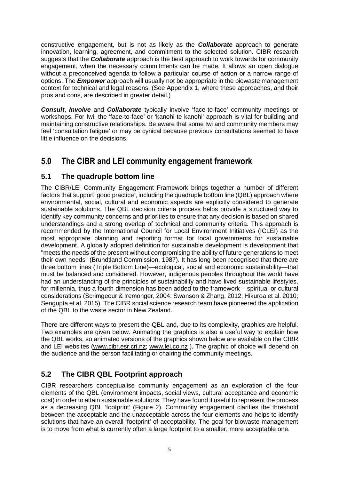constructive engagement, but is not as likely as the **Collaborate** approach to generate innovation, learning, agreement, and commitment to the selected solution. CIBR research suggests that the **Collaborate** approach is the best approach to work towards for community engagement, when the necessary commitments can be made. It allows an open dialogue without a preconceived agenda to follow a particular course of action or a narrow range of options. The **Empower** approach will usually not be appropriate in the biowaste management context for technical and legal reasons. (See Appendix 1, where these approaches, and their pros and cons, are described in greater detail.)

**Consult**, **Involve** and **Collaborate** typically involve 'face-to-face' community meetings or workshops. For Iwi, the 'face-to-face' or 'kanohi te kanohi' approach is vital for building and maintaining constructive relationships. Be aware that some Iwi and community members may feel 'consultation fatigue' or may be cynical because previous consultations seemed to have little influence on the decisions.

# **5.0 The CIBR and LEI community engagement framework**

### **5.1 The quadruple bottom line**

The CIBR/LEI Community Engagement Framework brings together a number of different factors that support 'good practice', including the quadruple bottom line (QBL) approach where environmental, social, cultural and economic aspects are explicitly considered to generate sustainable solutions. The QBL decision criteria process helps provide a structured way to identify key community concerns and priorities to ensure that any decision is based on shared understandings and a strong overlap of technical and community criteria. This approach is recommended by the International Council for Local Environment Initiatives (ICLEI) as the most appropriate planning and reporting format for local governments for sustainable development. A globally adopted definition for sustainable development is development that "meets the needs of the present without compromising the ability of future generations to meet their own needs" (Brundtland Commission, 1987). It has long been recognised that there are three bottom lines (Triple Bottom Line)—ecological, social and economic sustainability—that must be balanced and considered. However, indigenous peoples throughout the world have had an understanding of the principles of sustainability and have lived sustainable lifestyles, for millennia, thus a fourth dimension has been added to the framework – spiritual or cultural considerations (Scrimgeour & Iremonger, 2004; Swanson & Zhang, 2012; Hikuroa et al. 2010; Sengupta et al. 2015). The CIBR social science research team have pioneered the application of the QBL to the waste sector in New Zealand.

There are different ways to present the QBL and, due to its complexity, graphics are helpful. Two examples are given below. Animating the graphics is also a useful way to explain how the QBL works, so animated versions of the graphics shown below are available on the CIBR and LEI websites (www.cibr.esr.cri.nz; www.lei.co.nz ). The graphic of choice will depend on the audience and the person facilitating or chairing the community meetings.

### **5.2 The CIBR QBL Footprint approach**

CIBR researchers conceptualise community engagement as an exploration of the four elements of the QBL (environment impacts, social views, cultural acceptance and economic cost) in order to attain sustainable solutions. They have found it useful to represent the process as a decreasing QBL 'footprint' (Figure 2). Community engagement clarifies the threshold between the acceptable and the unacceptable across the four elements and helps to identify solutions that have an overall 'footprint' of acceptability. The goal for biowaste management is to move from what is currently often a large footprint to a smaller, more acceptable one.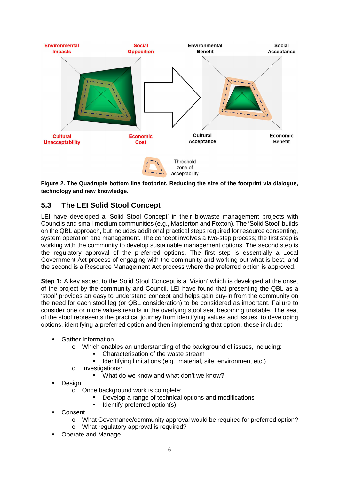

**Figure 2. The Quadruple bottom line footprint. Reducing the size of the footprint via dialogue, technology and new knowledge.**

### **5.3 The LEI Solid Stool Concept**

LEI have developed a 'Solid Stool Concept' in their biowaste management projects with Councils and small-medium communities (e.g., Masterton and Foxton). The 'Solid Stool' builds on the QBL approach, but includes additional practical steps required for resource consenting, system operation and management. The concept involves a two-step process; the first step is working with the community to develop sustainable management options. The second step is the regulatory approval of the preferred options. The first step is essentially a Local Government Act process of engaging with the community and working out what is best, and the second is a Resource Management Act process where the preferred option is approved.

**Step 1:** A key aspect to the Solid Stool Concept is a 'Vision' which is developed at the onset of the project by the community and Council. LEI have found that presenting the QBL as a 'stool' provides an easy to understand concept and helps gain buy-in from the community on the need for each stool leg (or QBL consideration) to be considered as important. Failure to consider one or more values results in the overlying stool seat becoming unstable. The seat of the stool represents the practical journey from identifying values and issues, to developing options, identifying a preferred option and then implementing that option, these include:

- Gather Information
	- o Which enables an understanding of the background of issues, including:
		- Characterisation of the waste stream
		- Identifying limitations (e.g., material, site, environment etc.)
	- o Investigations:
		- **What do we know and what don't we know?**
- **Design** 
	- o Once background work is complete:
		- Develop a range of technical options and modifications<br>Departify preferred option(s)
		- Identify preferred option(s)
- **Consent** 
	- o What Governance/community approval would be required for preferred option?
	- o What regulatory approval is required?
- Operate and Manage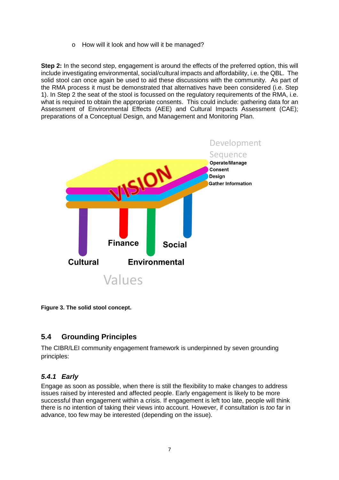o How will it look and how will it be managed?

**Step 2:** In the second step, engagement is around the effects of the preferred option, this will include investigating environmental, social/cultural impacts and affordability, i.e. the QBL. The solid stool can once again be used to aid these discussions with the community. As part of the RMA process it must be demonstrated that alternatives have been considered (i.e. Step 1). In Step 2 the seat of the stool is focussed on the regulatory requirements of the RMA, i.e. what is required to obtain the appropriate consents. This could include: gathering data for an Assessment of Environmental Effects (AEE) and Cultural Impacts Assessment (CAE); preparations of a Conceptual Design, and Management and Monitoring Plan.



**Figure 3. The solid stool concept.** 

#### **5.4 Grounding Principles**

The CIBR/LEI community engagement framework is underpinned by seven grounding principles:

#### **5.4.1 Early**

Engage as soon as possible, when there is still the flexibility to make changes to address issues raised by interested and affected people. Early engagement is likely to be more successful than engagement within a crisis. If engagement is left too late, people will think there is no intention of taking their views into account. However, if consultation is too far in advance, too few may be interested (depending on the issue).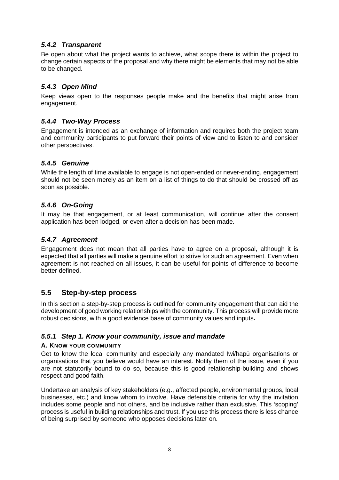#### **5.4.2 Transparent**

Be open about what the project wants to achieve, what scope there is within the project to change certain aspects of the proposal and why there might be elements that may not be able to be changed.

#### **5.4.3 Open Mind**

Keep views open to the responses people make and the benefits that might arise from engagement.

#### **5.4.4 Two-Way Process**

Engagement is intended as an exchange of information and requires both the project team and community participants to put forward their points of view and to listen to and consider other perspectives.

#### **5.4.5 Genuine**

While the length of time available to engage is not open-ended or never-ending, engagement should not be seen merely as an item on a list of things to do that should be crossed off as soon as possible.

#### **5.4.6 On-Going**

It may be that engagement, or at least communication, will continue after the consent application has been lodged, or even after a decision has been made.

#### **5.4.7 Agreement**

Engagement does not mean that all parties have to agree on a proposal, although it is expected that all parties will make a genuine effort to strive for such an agreement. Even when agreement is not reached on all issues, it can be useful for points of difference to become better defined.

#### **5.5 Step-by-step process**

In this section a step-by-step process is outlined for community engagement that can aid the development of good working relationships with the community. This process will provide more robust decisions, with a good evidence base of community values and inputs**.** 

#### **5.5.1 Step 1. Know your community, issue and mandate**

#### **A. KNOW YOUR COMMUNITY**

Get to know the local community and especially any mandated Iwi/hapū organisations or organisations that you believe would have an interest. Notify them of the issue, even if you are not statutorily bound to do so, because this is good relationship-building and shows respect and good faith.

Undertake an analysis of key stakeholders (e.g., affected people, environmental groups, local businesses, etc.) and know whom to involve. Have defensible criteria for why the invitation includes some people and not others, and be inclusive rather than exclusive. This 'scoping' process is useful in building relationships and trust. If you use this process there is less chance of being surprised by someone who opposes decisions later on.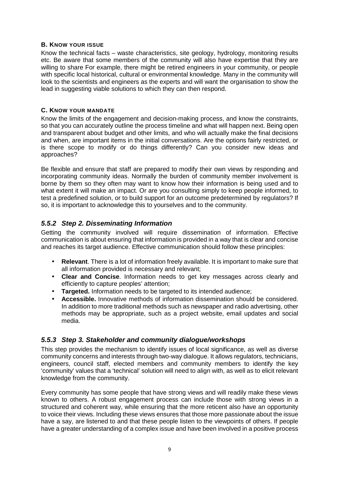#### **B. KNOW YOUR ISSUE**

Know the technical facts – waste characteristics, site geology, hydrology, monitoring results etc. Be aware that some members of the community will also have expertise that they are willing to share For example, there might be retired engineers in your community, or people with specific local historical, cultural or environmental knowledge. Many in the community will look to the scientists and engineers as the experts and will want the organisation to show the lead in suggesting viable solutions to which they can then respond.

#### **C. KNOW YOUR MANDATE**

Know the limits of the engagement and decision-making process, and know the constraints, so that you can accurately outline the process timeline and what will happen next. Being open and transparent about budget and other limits, and who will actually make the final decisions and when, are important items in the initial conversations. Are the options fairly restricted, or is there scope to modify or do things differently? Can you consider new ideas and approaches?

Be flexible and ensure that staff are prepared to modify their own views by responding and incorporating community ideas. Normally the burden of community member involvement is borne by them so they often may want to know how their information is being used and to what extent it will make an impact. Or are you consulting simply to keep people informed, to test a predefined solution, or to build support for an outcome predetermined by regulators? If so, it is important to acknowledge this to yourselves and to the community.

#### **5.5.2 Step 2. Disseminating Information**

Getting the community involved will require dissemination of information. Effective communication is about ensuring that information is provided in a way that is clear and concise and reaches its target audience. Effective communication should follow these principles:

- **Relevant**. There is a lot of information freely available. It is important to make sure that all information provided is necessary and relevant;
- **Clear and Concise**. Information needs to get key messages across clearly and efficiently to capture peoples' attention;
- **Targeted.** Information needs to be targeted to its intended audience;
- **Accessible.** Innovative methods of information dissemination should be considered. In addition to more traditional methods such as newspaper and radio advertising, other methods may be appropriate, such as a project website, email updates and social media.

#### **5.5.3 Step 3. Stakeholder and community dialogue/workshops**

This step provides the mechanism to identify issues of local significance, as well as diverse community concerns and interests through two-way dialogue. It allows regulators, technicians, engineers, council staff, elected members and community members to identify the key 'community' values that a 'technical' solution will need to align with, as well as to elicit relevant knowledge from the community.

Every community has some people that have strong views and will readily make these views known to others. A robust engagement process can include those with strong views in a structured and coherent way, while ensuring that the more reticent also have an opportunity to voice their views. Including these views ensures that those more passionate about the issue have a say, are listened to and that these people listen to the viewpoints of others. If people have a greater understanding of a complex issue and have been involved in a positive process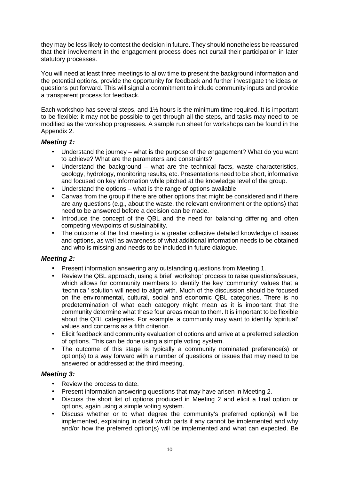they may be less likely to contest the decision in future. They should nonetheless be reassured that their involvement in the engagement process does not curtail their participation in later statutory processes.

You will need at least three meetings to allow time to present the background information and the potential options, provide the opportunity for feedback and further investigate the ideas or questions put forward. This will signal a commitment to include community inputs and provide a transparent process for feedback.

Each workshop has several steps, and 1½ hours is the minimum time required. It is important to be flexible: it may not be possible to get through all the steps, and tasks may need to be modified as the workshop progresses. A sample run sheet for workshops can be found in the Appendix 2.

#### **Meeting 1:**

- Understand the journey what is the purpose of the engagement? What do you want to achieve? What are the parameters and constraints?
- Understand the background what are the technical facts, waste characteristics, geology, hydrology, monitoring results, etc. Presentations need to be short, informative and focused on key information while pitched at the knowledge level of the group.
- Understand the options what is the range of options available.
- Canvas from the group if there are other options that might be considered and if there are any questions (e.g., about the waste, the relevant environment or the options) that need to be answered before a decision can be made.
- Introduce the concept of the QBL and the need for balancing differing and often competing viewpoints of sustainability.
- The outcome of the first meeting is a greater collective detailed knowledge of issues and options, as well as awareness of what additional information needs to be obtained and who is missing and needs to be included in future dialogue.

#### **Meeting 2:**

- Present information answering any outstanding questions from Meeting 1.
- Review the QBL approach, using a brief 'workshop' process to raise questions/issues, which allows for community members to identify the key 'community' values that a 'technical' solution will need to align with. Much of the discussion should be focused on the environmental, cultural, social and economic QBL categories. There is no predetermination of what each category might mean as it is important that the community determine what these four areas mean to them. It is important to be flexible about the QBL categories. For example, a community may want to identify 'spiritual' values and concerns as a fifth criterion.
- Elicit feedback and community evaluation of options and arrive at a preferred selection of options. This can be done using a simple voting system.
- The outcome of this stage is typically a community nominated preference(s) or option(s) to a way forward with a number of questions or issues that may need to be answered or addressed at the third meeting.

#### **Meeting 3:**

- Review the process to date.
- Present information answering questions that may have arisen in Meeting 2.
- Discuss the short list of options produced in Meeting 2 and elicit a final option or options, again using a simple voting system.
- Discuss whether or to what degree the community's preferred option(s) will be implemented, explaining in detail which parts if any cannot be implemented and why and/or how the preferred option(s) will be implemented and what can expected. Be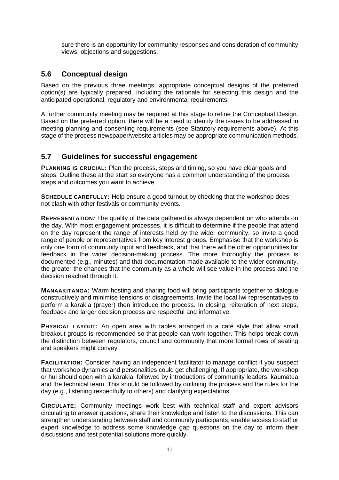sure there is an opportunity for community responses and consideration of community views, objections and suggestions.

### **5.6 Conceptual design**

Based on the previous three meetings, appropriate conceptual designs of the preferred option(s) are typically prepared, including the rationale for selecting this design and the anticipated operational, regulatory and environmental requirements.

A further community meeting may be required at this stage to refine the Conceptual Design. Based on the preferred option, there will be a need to identify the issues to be addressed in meeting planning and consenting requirements (see Statutory requirements above). At this stage of the process newspaper/website articles may be appropriate communication methods.

#### **5.7 Guidelines for successful engagement**

**PLANNING IS CRUCIAL:** Plan the process, steps and timing, so you have clear goals and steps. Outline these at the start so everyone has a common understanding of the process, steps and outcomes you want to achieve.

**SCHEDULE CAREFULLY:** Help ensure a good turnout by checking that the workshop does not clash with other festivals or community events.

**REPRESENTATION:** The quality of the data gathered is always dependent on who attends on the day. With most engagement processes, it is difficult to determine if the people that attend on the day represent the range of interests held by the wider community, so invite a good range of people or representatives from key interest groups. Emphasise that the workshop is only one form of community input and feedback, and that there will be other opportunities for feedback in the wider decision-making process. The more thoroughly the process is documented (e.g., minutes) and that documentation made available to the wider community, the greater the chances that the community as a whole will see value in the process and the decision reached through it.

**MANAAKITANGA:** Warm hosting and sharing food will bring participants together to dialogue constructively and minimise tensions or disagreements. Invite the local Iwi representatives to perform a karakia (prayer) then introduce the process. In closing, reiteration of next steps, feedback and larger decision process are respectful and informative.

**PHYSICAL LAYOUT:** An open area with tables arranged in a café style that allow small breakout groups is recommended so that people can work together. This helps break down the distinction between regulators, council and community that more formal rows of seating and speakers might convey.

**FACILITATION:** Consider having an independent facilitator to manage conflict if you suspect that workshop dynamics and personalities could get challenging. If appropriate, the workshop or hui should open with a karakia, followed by introductions of community leaders, kaumātua and the technical team. This should be followed by outlining the process and the rules for the day (e.g., listening respectfully to others) and clarifying expectations.

**CIRCULATE:** Community meetings work best with technical staff and expert advisors circulating to answer questions, share their knowledge and listen to the discussions. This can strengthen understanding between staff and community participants, enable access to staff or expert knowledge to address some knowledge gap questions on the day to inform their discussions and test potential solutions more quickly.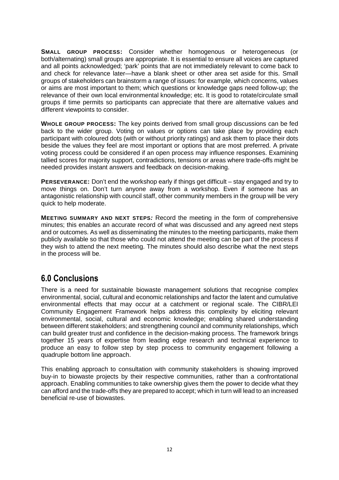**SMALL GROUP PROCESS:** Consider whether homogenous or heterogeneous (or both/alternating) small groups are appropriate. It is essential to ensure all voices are captured and all points acknowledged; 'park' points that are not immediately relevant to come back to and check for relevance later—have a blank sheet or other area set aside for this. Small groups of stakeholders can brainstorm a range of issues: for example, which concerns, values or aims are most important to them; which questions or knowledge gaps need follow-up; the relevance of their own local environmental knowledge; etc. It is good to rotate/circulate small groups if time permits so participants can appreciate that there are alternative values and different viewpoints to consider.

**WHOLE GROUP PROCESS:** The key points derived from small group discussions can be fed back to the wider group. Voting on values or options can take place by providing each participant with coloured dots (with or without priority ratings) and ask them to place their dots beside the values they feel are most important or options that are most preferred. A private voting process could be considered if an open process may influence responses. Examining tallied scores for majority support, contradictions, tensions or areas where trade-offs might be needed provides instant answers and feedback on decision-making.

**PERSEVERANCE:** Don't end the workshop early if things get difficult – stay engaged and try to move things on. Don't turn anyone away from a workshop. Even if someone has an antagonistic relationship with council staff, other community members in the group will be very quick to help moderate.

**MEETING SUMMARY AND NEXT STEPS:** Record the meeting in the form of comprehensive minutes; this enables an accurate record of what was discussed and any agreed next steps and or outcomes. As well as disseminating the minutes to the meeting participants, make them publicly available so that those who could not attend the meeting can be part of the process if they wish to attend the next meeting. The minutes should also describe what the next steps in the process will be.

# **6.0 Conclusions**

There is a need for sustainable biowaste management solutions that recognise complex environmental, social, cultural and economic relationships and factor the latent and cumulative environmental effects that may occur at a catchment or regional scale. The CIBR/LEI Community Engagement Framework helps address this complexity by eliciting relevant environmental, social, cultural and economic knowledge; enabling shared understanding between different stakeholders; and strengthening council and community relationships, which can build greater trust and confidence in the decision-making process. The framework brings together 15 years of expertise from leading edge research and technical experience to produce an easy to follow step by step process to community engagement following a quadruple bottom line approach.

This enabling approach to consultation with community stakeholders is showing improved buy-in to biowaste projects by their respective communities, rather than a confrontational approach. Enabling communities to take ownership gives them the power to decide what they can afford and the trade-offs they are prepared to accept; which in turn will lead to an increased beneficial re-use of biowastes.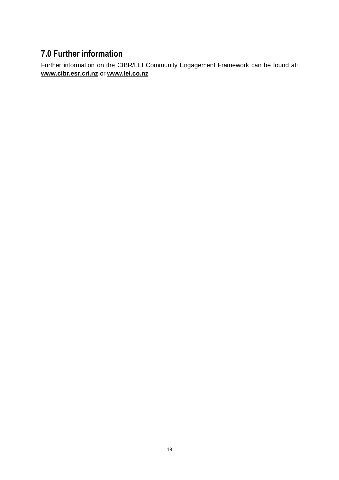# **7.0 Further information**

Further information on the CIBR/LEI Community Engagement Framework can be found at: **www.cibr.esr.cri.nz** or **www.lei.co.nz**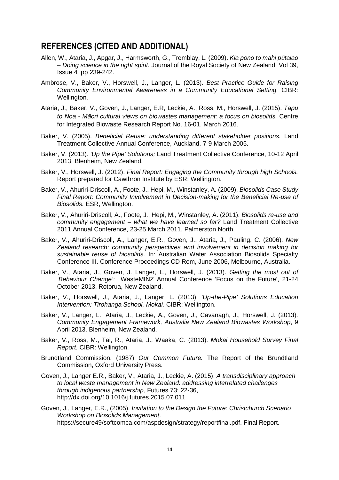## **REFERENCES (CITED AND ADDITIONAL)**

- Allen, W., Ataria, J., Apgar, J., Harmsworth, G., Tremblay, L. (2009). Kia pono to mahi p*ū*taiao – Doing science in the right spirit. Journal of the Royal Society of New Zealand. Vol 39, Issue 4. pp 239-242.
- Ambrose, V., Baker, V., Horswell, J., Langer, L. (2013). Best Practice Guide for Raising Community Environmental Awareness in a Community Educational Setting. CIBR: Wellington.
- Ataria, J., Baker, V., Goven, J., Langer, E.R, Leckie, A., Ross, M., Horswell, J. (2015). Tapu to Noa - M*ā*ori cultural views on biowastes management: a focus on biosolids. Centre for Integrated Biowaste Research Report No. 16-01. March 2016.
- Baker, V. (2005). Beneficial Reuse: understanding different stakeholder positions. Land Treatment Collective Annual Conference, Auckland, 7-9 March 2005.
- Baker, V. (2013). 'Up the Pipe' Solutions; Land Treatment Collective Conference, 10-12 April 2013, Blenheim, New Zealand.
- Baker, V., Horswell, J. (2012). Final Report: Engaging the Community through high Schools. Report prepared for Cawthron Institute by ESR: Wellington.
- Baker, V., Ahuriri-Driscoll, A., Foote, J., Hepi, M., Winstanley, A. (2009). Biosolids Case Study Final Report: Community Involvement in Decision-making for the Beneficial Re-use of Biosolids. ESR, Wellington.
- Baker, V., Ahuriri-Driscoll, A., Foote, J., Hepi, M., Winstanley, A. (2011). Biosolids re-use and community engagement – what we have learned so far? Land Treatment Collective 2011 Annual Conference, 23-25 March 2011. Palmerston North.
- Baker, V., Ahuriri-Driscoll, A., Langer, E.R., Goven, J., Ataria, J., Pauling, C. (2006). New Zealand research: community perspectives and involvement in decision making for sustainable reuse of biosolids. In: Australian Water Association Biosolids Specialty Conference III. Conference Proceedings CD Rom, June 2006, Melbourne, Australia.
- Baker, V., Ataria, J., Goven, J. Langer, L., Horswell, J. (2013). Getting the most out of 'Behaviour Change': WasteMINZ Annual Conference 'Focus on the Future', 21-24 October 2013, Rotorua, New Zealand.
- Baker, V., Horswell, J., Ataria, J., Langer, L. (2013). 'Up-the-Pipe' Solutions Education Intervention: Tirohanga School, Mokai. CIBR: Wellington.
- Baker, V., Langer, L., Ataria, J., Leckie, A., Goven, J., Cavanagh, J., Horswell, J. (2013). Community Engagement Framework, Australia New Zealand Biowastes Workshop, 9 April 2013. Blenheim, New Zealand.
- Baker, V., Ross, M., Tai, R., Ataria, J., Waaka, C. (2013). Mokai Household Survey Final Report. CIBR: Wellington.
- Brundtland Commission. (1987) Our Common Future. The Report of the Brundtland Commission, Oxford University Press.
- Goven, J., Langer E.R., Baker, V., Ataria, J., Leckie, A. (2015). A transdisciplinary approach to local waste management in New Zealand: addressing interrelated challenges through indigenous partnership, Futures 73: 22-36, http://dx.doi.org/10.1016/j.futures.2015.07.011
- Goven, J., Langer, E.R., (2005). Invitation to the Design the Future: Christchurch Scenario Workshop on Biosolids Management. https://secure49/softcomca.com/aspdesign/strategy/reportfinal.pdf. Final Report.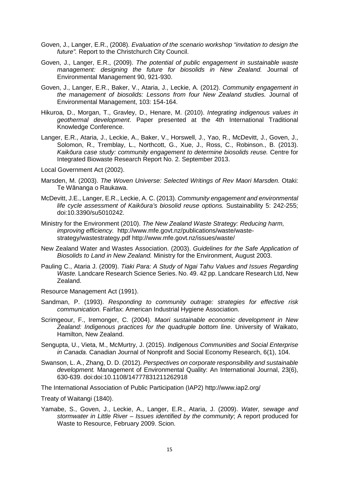- Goven, J., Langer, E.R., (2008). Evaluation of the scenario workshop "invitation to design the future". Report to the Christchurch City Council.
- Goven, J., Langer, E.R., (2009). The potential of public engagement in sustainable waste management: designing the future for biosolids in New Zealand. Journal of Environmental Management 90, 921-930.
- Goven, J., Langer, E.R., Baker, V., Ataria, J., Leckie, A. (2012). Community engagement in the management of biosolids: Lessons from four New Zealand studies. Journal of Environmental Management, 103: 154-164.
- Hikuroa, D., Morgan, T., Gravley, D., Henare, M. (2010). Integrating indigenous values in geothermal development. Paper presented at the 4th International Traditional Knowledge Conference.
- Langer, E.R., Ataria, J., Leckie, A., Baker, V., Horswell, J., Yao, R., McDevitt, J., Goven, J., Solomon, R., Tremblay, L., Northcott, G., Xue, J., Ross, C., Robinson., B. (2013). Kaik*ō*ura case study: community engagement to determine biosolids reuse. Centre for Integrated Biowaste Research Report No. 2. September 2013.
- Local Government Act (2002).
- Marsden, M. (2003). The Woven Universe: Selected Writings of Rev Maori Marsden. Otaki: Te Wānanga o Raukawa.
- McDevitt, J.E., Langer, E.R., Leckie, A. C. (2013). Community engagement and environmental life cycle assessment of Kaik*ō*ura's biosolid reuse options. Sustainability 5: 242-255; doi:10.3390/su5010242.
- Ministry for the Environment (2010). The New Zealand Waste Strategy: Reducing harm, improving efficiency. http://www.mfe.govt.nz/publications/waste/wastestrategy/wastestrategy.pdf http://www.mfe.govt.nz/issues/waste/
- New Zealand Water and Wastes Association. (2003). Guidelines for the Safe Application of Biosolids to Land in New Zealand. Ministry for the Environment, August 2003.
- Pauling C., Ataria J. (2009). Tiaki Para: A Study of Ngai Tahu Values and Issues Regarding Waste. Landcare Research Science Series. No. 49. 42 pp. Landcare Research Ltd, New Zealand.
- Resource Management Act (1991).
- Sandman, P. (1993). Responding to community outrage: strategies for effective risk communication. Fairfax: American Industrial Hygiene Association.
- Scrimgeour, F., Iremonger, C. (2004). Maori sustainable economic development in New Zealand: Indigenous practices for the quadruple bottom line. University of Waikato, Hamilton, New Zealand.
- Sengupta, U., Vieta, M., McMurtry, J. (2015). Indigenous Communities and Social Enterprise in Canada. Canadian Journal of Nonprofit and Social Economy Research, 6(1), 104.
- Swanson, L. A., Zhang, D. D. (2012). Perspectives on corporate responsibility and sustainable development. Management of Environmental Quality: An International Journal, 23(6), 630-639. doi:doi:10.1108/14777831211262918

The International Association of Public Participation (IAP2) http://www.iap2.org/

- Treaty of Waitangi (1840).
- Yamabe, S., Goven, J., Leckie, A., Langer, E.R., Ataria, J. (2009). Water, sewage and stormwater in Little River – Issues identified by the community; A report produced for Waste to Resource, February 2009. Scion.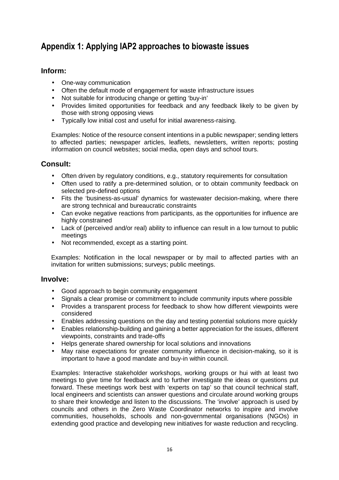# **Appendix 1: Applying IAP2 approaches to biowaste issues**

### **Inform:**

- One-way communication
- Often the default mode of engagement for waste infrastructure issues
- Not suitable for introducing change or getting 'buy-in'
- Provides limited opportunities for feedback and any feedback likely to be given by those with strong opposing views
- Typically low initial cost and useful for initial awareness-raising.

Examples: Notice of the resource consent intentions in a public newspaper; sending letters to affected parties; newspaper articles, leaflets, newsletters, written reports; posting information on council websites; social media, open days and school tours.

### **Consult:**

- Often driven by regulatory conditions, e.g., statutory requirements for consultation
- Often used to ratify a pre-determined solution, or to obtain community feedback on selected pre-defined options
- Fits the 'business-as-usual' dynamics for wastewater decision-making, where there are strong technical and bureaucratic constraints
- Can evoke negative reactions from participants, as the opportunities for influence are highly constrained
- Lack of (perceived and/or real) ability to influence can result in a low turnout to public meetings
- Not recommended, except as a starting point.

Examples: Notification in the local newspaper or by mail to affected parties with an invitation for written submissions; surveys; public meetings.

#### **Involve:**

- Good approach to begin community engagement
- Signals a clear promise or commitment to include community inputs where possible
- Provides a transparent process for feedback to show how different viewpoints were considered
- Enables addressing questions on the day and testing potential solutions more quickly
- Enables relationship-building and gaining a better appreciation for the issues, different viewpoints, constraints and trade-offs
- Helps generate shared ownership for local solutions and innovations
- May raise expectations for greater community influence in decision-making, so it is important to have a good mandate and buy-in within council.

Examples: Interactive stakeholder workshops, working groups or hui with at least two meetings to give time for feedback and to further investigate the ideas or questions put forward. These meetings work best with 'experts on tap' so that council technical staff, local engineers and scientists can answer questions and circulate around working groups to share their knowledge and listen to the discussions. The 'involve' approach is used by councils and others in the Zero Waste Coordinator networks to inspire and involve communities, households, schools and non-governmental organisations (NGOs) in extending good practice and developing new initiatives for waste reduction and recycling.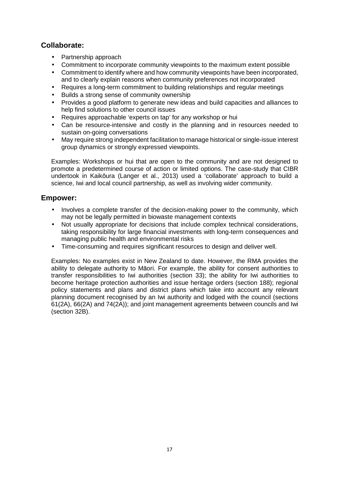### **Collaborate:**

- Partnership approach
- Commitment to incorporate community viewpoints to the maximum extent possible
- Commitment to identify where and how community viewpoints have been incorporated, and to clearly explain reasons when community preferences not incorporated
- Requires a long-term commitment to building relationships and regular meetings
- Builds a strong sense of community ownership
- Provides a good platform to generate new ideas and build capacities and alliances to help find solutions to other council issues
- Requires approachable 'experts on tap' for any workshop or hui
- Can be resource-intensive and costly in the planning and in resources needed to sustain on-going conversations
- May require strong independent facilitation to manage historical or single-issue interest group dynamics or strongly expressed viewpoints.

Examples: Workshops or hui that are open to the community and are not designed to promote a predetermined course of action or limited options. The case-study that CIBR undertook in Kaikōura (Langer et al., 2013) used a 'collaborate' approach to build a science, Iwi and local council partnership, as well as involving wider community.

#### **Empower:**

- Involves a complete transfer of the decision-making power to the community, which may not be legally permitted in biowaste management contexts
- Not usually appropriate for decisions that include complex technical considerations, taking responsibility for large financial investments with long-term consequences and managing public health and environmental risks
- Time-consuming and requires significant resources to design and deliver well.

Examples: No examples exist in New Zealand to date. However, the RMA provides the ability to delegate authority to Māori. For example, the ability for consent authorities to transfer responsibilities to Iwi authorities (section 33); the ability for Iwi authorities to become heritage protection authorities and issue heritage orders (section 188); regional policy statements and plans and district plans which take into account any relevant planning document recognised by an Iwi authority and lodged with the council (sections 61(2A), 66(2A) and 74(2A)); and joint management agreements between councils and Iwi (section 32B).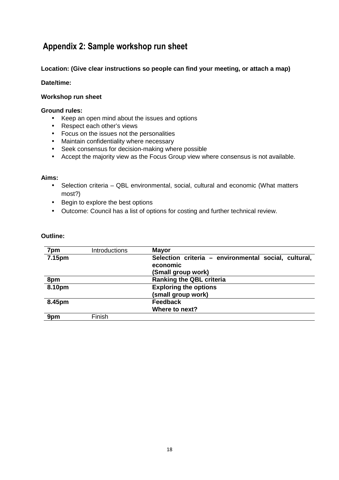# **Appendix 2: Sample workshop run sheet**

#### **Location: (Give clear instructions so people can find your meeting, or attach a map)**

#### **Date/time:**

#### **Workshop run sheet**

#### **Ground rules:**

- Keep an open mind about the issues and options
- Respect each other's views
- Focus on the issues not the personalities
- Maintain confidentiality where necessary
- Seek consensus for decision-making where possible
- Accept the majority view as the Focus Group view where consensus is not available.

#### **Aims:**

- Selection criteria QBL environmental, social, cultural and economic (What matters most?)
- Begin to explore the best options
- Outcome: Council has a list of options for costing and further technical review.

#### **Outline:**

| 7pm    | Introductions | <b>Mayor</b>                                         |
|--------|---------------|------------------------------------------------------|
| 7.15pm |               | Selection criteria - environmental social, cultural, |
|        |               | economic                                             |
|        |               | (Small group work)                                   |
| 8pm    |               | <b>Ranking the QBL criteria</b>                      |
| 8.10pm |               | <b>Exploring the options</b>                         |
|        |               | (small group work)                                   |
| 8.45pm |               | <b>Feedback</b>                                      |
|        |               | Where to next?                                       |
| 9pm    | Finish        |                                                      |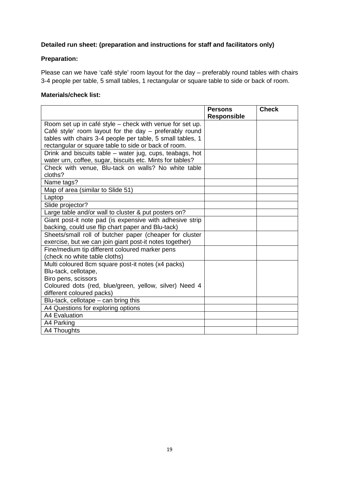### **Detailed run sheet: (preparation and instructions for staff and facilitators only)**

#### **Preparation:**

Please can we have 'café style' room layout for the day – preferably round tables with chairs 3-4 people per table, 5 small tables, 1 rectangular or square table to side or back of room.

#### **Materials/check list:**

|                                                            | <b>Persons</b><br><b>Responsible</b> | <b>Check</b> |
|------------------------------------------------------------|--------------------------------------|--------------|
| Room set up in café style – check with venue for set up.   |                                      |              |
| Café style' room layout for the day – preferably round     |                                      |              |
| tables with chairs 3-4 people per table, 5 small tables, 1 |                                      |              |
| rectangular or square table to side or back of room.       |                                      |              |
| Drink and biscuits table – water jug, cups, teabags, hot   |                                      |              |
| water urn, coffee, sugar, biscuits etc. Mints for tables?  |                                      |              |
| Check with venue, Blu-tack on walls? No white table        |                                      |              |
| cloths?                                                    |                                      |              |
| Name tags?                                                 |                                      |              |
| Map of area (similar to Slide 51)                          |                                      |              |
| Laptop                                                     |                                      |              |
| Slide projector?                                           |                                      |              |
| Large table and/or wall to cluster & put posters on?       |                                      |              |
| Giant post-it note pad (is expensive with adhesive strip   |                                      |              |
| backing, could use flip chart paper and Blu-tack)          |                                      |              |
| Sheets/small roll of butcher paper (cheaper for cluster    |                                      |              |
| exercise, but we can join giant post-it notes together)    |                                      |              |
| Fine/medium tip different coloured marker pens             |                                      |              |
| (check no white table cloths)                              |                                      |              |
| Multi coloured 8cm square post-it notes (x4 packs)         |                                      |              |
| Blu-tack, cellotape,                                       |                                      |              |
| Biro pens, scissors                                        |                                      |              |
| Coloured dots (red, blue/green, yellow, silver) Need 4     |                                      |              |
| different coloured packs)                                  |                                      |              |
| Blu-tack, cellotape - can bring this                       |                                      |              |
| A4 Questions for exploring options                         |                                      |              |
| <b>A4 Evaluation</b>                                       |                                      |              |
| A4 Parking                                                 |                                      |              |
| A4 Thoughts                                                |                                      |              |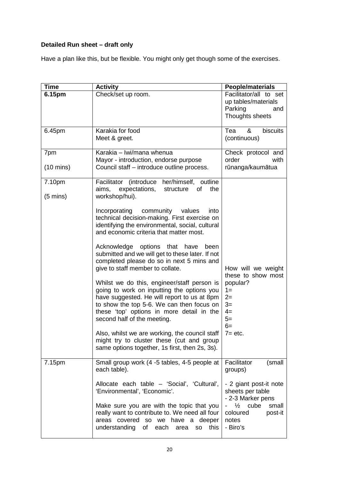# **Detailed Run sheet – draft only**

Have a plan like this, but be flexible. You might only get though some of the exercises.

| <b>Time</b>                  | <b>Activity</b>                                                                                                                                                                                                                                                                                                                                                                                                                                                                                                                                                                                                                                                                                                                                                                                   | People/materials                                                                                                                                     |
|------------------------------|---------------------------------------------------------------------------------------------------------------------------------------------------------------------------------------------------------------------------------------------------------------------------------------------------------------------------------------------------------------------------------------------------------------------------------------------------------------------------------------------------------------------------------------------------------------------------------------------------------------------------------------------------------------------------------------------------------------------------------------------------------------------------------------------------|------------------------------------------------------------------------------------------------------------------------------------------------------|
| 6.15pm                       | Check/set up room.                                                                                                                                                                                                                                                                                                                                                                                                                                                                                                                                                                                                                                                                                                                                                                                | Facilitator/all to set<br>up tables/materials<br>Parking<br>and<br>Thoughts sheets                                                                   |
| 6.45pm                       | Karakia for food<br>Meet & greet.                                                                                                                                                                                                                                                                                                                                                                                                                                                                                                                                                                                                                                                                                                                                                                 | &<br>Tea<br>biscuits<br>(continuous)                                                                                                                 |
| 7pm                          | Karakia - Iwi/mana whenua<br>Mayor - introduction, endorse purpose                                                                                                                                                                                                                                                                                                                                                                                                                                                                                                                                                                                                                                                                                                                                | Check protocol and<br>order<br>with                                                                                                                  |
| $(10 \text{ mins})$          | Council staff – introduce outline process.                                                                                                                                                                                                                                                                                                                                                                                                                                                                                                                                                                                                                                                                                                                                                        | rūnanga/kaumātua                                                                                                                                     |
| 7.10pm<br>$(5 \text{ mins})$ | Facilitator (introduce her/himself, outline<br>expectations,<br>structure<br>aims,<br>οf<br>the<br>workshop/hui).                                                                                                                                                                                                                                                                                                                                                                                                                                                                                                                                                                                                                                                                                 |                                                                                                                                                      |
|                              | Incorporating<br>community<br>values<br>into<br>technical decision-making. First exercise on<br>identifying the environmental, social, cultural<br>and economic criteria that matter most.<br>Acknowledge options that<br>have<br>been<br>submitted and we will get to these later. If not<br>completed please do so in next 5 mins and<br>give to staff member to collate.<br>Whilst we do this, engineer/staff person is<br>going to work on inputting the options you<br>have suggested. He will report to us at 8pm<br>to show the top 5-6. We can then focus on<br>these 'top' options in more detail in the<br>second half of the meeting.<br>Also, whilst we are working, the council staff<br>might try to cluster these (cut and group<br>same options together, 1s first, then 2s, 3s). | How will we weight<br>these to show most<br>popular?<br>$1 =$<br>$2=$<br>$3=$<br>$4=$<br>$5=$<br>$6=$<br>$7 = etc.$                                  |
| 7.15pm                       | Small group work (4 -5 tables, 4-5 people at<br>each table).                                                                                                                                                                                                                                                                                                                                                                                                                                                                                                                                                                                                                                                                                                                                      | Facilitator<br>(small<br>groups)                                                                                                                     |
|                              | Allocate each table - 'Social', 'Cultural',<br>'Environmental', 'Economic'.<br>Make sure you are with the topic that you<br>really want to contribute to. We need all four<br>areas covered so we have a deeper<br>understanding<br>this<br>οf<br>each<br>area<br><b>SO</b>                                                                                                                                                                                                                                                                                                                                                                                                                                                                                                                       | - 2 giant post-it note<br>sheets per table<br>- 2-3 Marker pens<br>$\frac{1}{2}$ cube<br>small<br>$\sim$<br>coloured<br>post-it<br>notes<br>- Biro's |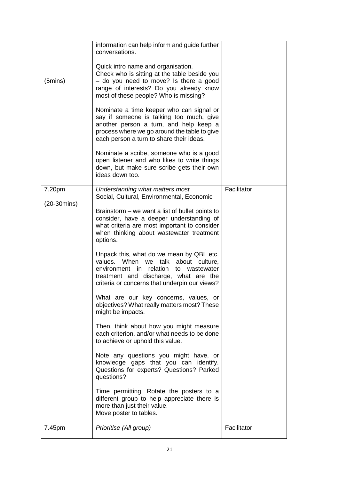| (5mins)        | information can help inform and guide further<br>conversations.<br>Quick intro name and organisation.<br>Check who is sitting at the table beside you<br>- do you need to move? Is there a good<br>range of interests? Do you already know<br>most of these people? Who is missing?<br>Nominate a time keeper who can signal or<br>say if someone is talking too much, give<br>another person a turn, and help keep a<br>process where we go around the table to give<br>each person a turn to share their ideas.<br>Nominate a scribe, someone who is a good<br>open listener and who likes to write things<br>down, but make sure scribe gets their own<br>ideas down too. |             |
|----------------|------------------------------------------------------------------------------------------------------------------------------------------------------------------------------------------------------------------------------------------------------------------------------------------------------------------------------------------------------------------------------------------------------------------------------------------------------------------------------------------------------------------------------------------------------------------------------------------------------------------------------------------------------------------------------|-------------|
| 7.20pm         | Understanding what matters most<br>Social, Cultural, Environmental, Economic                                                                                                                                                                                                                                                                                                                                                                                                                                                                                                                                                                                                 | Facilitator |
| $(20-30 mins)$ | Brainstorm – we want a list of bullet points to<br>consider, have a deeper understanding of<br>what criteria are most important to consider<br>when thinking about wastewater treatment<br>options.<br>Unpack this, what do we mean by QBL etc.<br>values. When we<br>talk about<br>culture,<br>in relation<br>environment<br>to wastewater<br>treatment and discharge, what are the                                                                                                                                                                                                                                                                                         |             |
|                | criteria or concerns that underpin our views?<br>What are our key concerns, values, or<br>objectives? What really matters most? These<br>might be impacts.                                                                                                                                                                                                                                                                                                                                                                                                                                                                                                                   |             |
|                | Then, think about how you might measure<br>each criterion, and/or what needs to be done<br>to achieve or uphold this value.                                                                                                                                                                                                                                                                                                                                                                                                                                                                                                                                                  |             |
|                | Note any questions you might have, or<br>knowledge gaps that you can identify.<br>Questions for experts? Questions? Parked<br>questions?                                                                                                                                                                                                                                                                                                                                                                                                                                                                                                                                     |             |
|                | Time permitting: Rotate the posters to a<br>different group to help appreciate there is<br>more than just their value.<br>Move poster to tables.                                                                                                                                                                                                                                                                                                                                                                                                                                                                                                                             |             |
| 7.45pm         | Prioritise (All group)                                                                                                                                                                                                                                                                                                                                                                                                                                                                                                                                                                                                                                                       | Facilitator |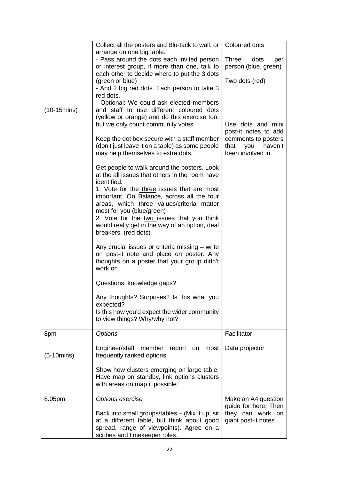|               | Collect all the posters and Blu-tack to wall, or                                                                                                                                                                                                                                                                                                                                                          | Coloured dots                                                                              |
|---------------|-----------------------------------------------------------------------------------------------------------------------------------------------------------------------------------------------------------------------------------------------------------------------------------------------------------------------------------------------------------------------------------------------------------|--------------------------------------------------------------------------------------------|
|               | arrange on one big table.<br>- Pass around the dots each invited person<br>or interest group, if more than one, talk to<br>each other to decide where to put the 3 dots<br>(green or blue)<br>- And 2 big red dots. Each person to take 3                                                                                                                                                                 | Three<br>dots<br>per<br>person (blue, green)<br>Two dots (red)                             |
| $(10-15)$     | red dots.<br>- Optional: We could ask elected members<br>and staff to use different coloured dots<br>(yellow or orange) and do this exercise too,<br>but we only count community votes.                                                                                                                                                                                                                   | Use dots and mini                                                                          |
|               | Keep the dot box secure with a staff member<br>(don't just leave it on a table) as some people<br>may help themselves to extra dots.                                                                                                                                                                                                                                                                      | post-it notes to add<br>comments to posters<br>that<br>you<br>haven't<br>been involved in. |
|               | Get people to walk around the posters. Look<br>at the all issues that others in the room have<br>identified.<br>1. Vote for the three issues that are most<br>important. On Balance, across all the four<br>areas, which three values/criteria matter<br>most for you (blue/green)<br>2. Vote for the two issues that you think<br>would really get in the way of an option, deal<br>breakers. (red dots) |                                                                                            |
|               | Any crucial issues or criteria missing – write<br>on post-it note and place on poster. Any<br>thoughts on a poster that your group didn't<br>work on.                                                                                                                                                                                                                                                     |                                                                                            |
|               | Questions, knowledge gaps?                                                                                                                                                                                                                                                                                                                                                                                |                                                                                            |
|               | Any thoughts? Surprises? Is this what you<br>expected?<br>Is this how you'd expect the wider community<br>to view things? Why/why not?                                                                                                                                                                                                                                                                    |                                                                                            |
| 8pm           | <b>Options</b>                                                                                                                                                                                                                                                                                                                                                                                            | Facilitator                                                                                |
| $(5-10 mins)$ | Engineer/staff member report on most<br>frequently ranked options.                                                                                                                                                                                                                                                                                                                                        | Data projector                                                                             |
|               | Show how clusters emerging on large table.<br>Have map on standby, link options clusters<br>with areas on map if possible.                                                                                                                                                                                                                                                                                |                                                                                            |
| 8.05pm        | <b>Options exercise</b>                                                                                                                                                                                                                                                                                                                                                                                   | Make an A4 question<br>guide for here. Then                                                |
|               | Back into small groups/tables – (Mix it up, sit<br>at a different table, but think about good<br>spread, range of viewpoints). Agree on a<br>scribes and timekeeper roles.                                                                                                                                                                                                                                | they can work on<br>giant post-it notes.                                                   |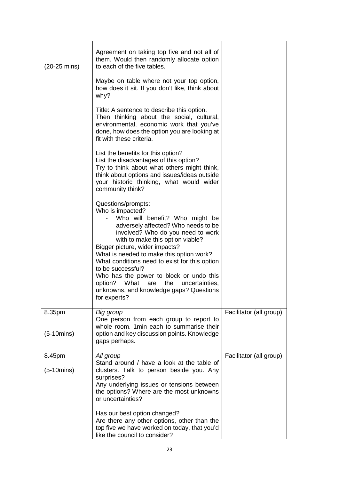| $(20-25 \text{ mins})$ | Agreement on taking top five and not all of<br>them. Would then randomly allocate option<br>to each of the five tables.<br>Maybe on table where not your top option,<br>how does it sit. If you don't like, think about<br>why?<br>Title: A sentence to describe this option.<br>Then thinking about the social, cultural,<br>environmental, economic work that you've<br>done, how does the option you are looking at<br>fit with these criteria.<br>List the benefits for this option?<br>List the disadvantages of this option?<br>Try to think about what others might think,<br>think about options and issues/ideas outside<br>your historic thinking, what would wider<br>community think?<br>Questions/prompts:<br>Who is impacted?<br>Who will benefit? Who might be<br>adversely affected? Who needs to be<br>involved? Who do you need to work<br>with to make this option viable?<br>Bigger picture, wider impacts?<br>What is needed to make this option work?<br>What conditions need to exist for this option<br>to be successful?<br>Who has the power to block or undo this<br>option? What are the<br>uncertainties,<br>unknowns, and knowledge gaps? Questions<br>for experts? |                         |
|------------------------|---------------------------------------------------------------------------------------------------------------------------------------------------------------------------------------------------------------------------------------------------------------------------------------------------------------------------------------------------------------------------------------------------------------------------------------------------------------------------------------------------------------------------------------------------------------------------------------------------------------------------------------------------------------------------------------------------------------------------------------------------------------------------------------------------------------------------------------------------------------------------------------------------------------------------------------------------------------------------------------------------------------------------------------------------------------------------------------------------------------------------------------------------------------------------------------------------|-------------------------|
| 8.35pm                 | Big group                                                                                                                                                                                                                                                                                                                                                                                                                                                                                                                                                                                                                                                                                                                                                                                                                                                                                                                                                                                                                                                                                                                                                                                         | Facilitator (all group) |
| $(5-10 mins)$          | One person from each group to report to<br>whole room. 1 min each to summarise their<br>option and key discussion points. Knowledge<br>gaps perhaps.                                                                                                                                                                                                                                                                                                                                                                                                                                                                                                                                                                                                                                                                                                                                                                                                                                                                                                                                                                                                                                              |                         |
| 8.45pm                 | All group<br>Stand around / have a look at the table of                                                                                                                                                                                                                                                                                                                                                                                                                                                                                                                                                                                                                                                                                                                                                                                                                                                                                                                                                                                                                                                                                                                                           | Facilitator (all group) |
| $(5-10 mins)$          | clusters. Talk to person beside you. Any<br>surprises?<br>Any underlying issues or tensions between<br>the options? Where are the most unknowns<br>or uncertainties?                                                                                                                                                                                                                                                                                                                                                                                                                                                                                                                                                                                                                                                                                                                                                                                                                                                                                                                                                                                                                              |                         |
|                        | Has our best option changed?<br>Are there any other options, other than the<br>top five we have worked on today, that you'd<br>like the council to consider?                                                                                                                                                                                                                                                                                                                                                                                                                                                                                                                                                                                                                                                                                                                                                                                                                                                                                                                                                                                                                                      |                         |